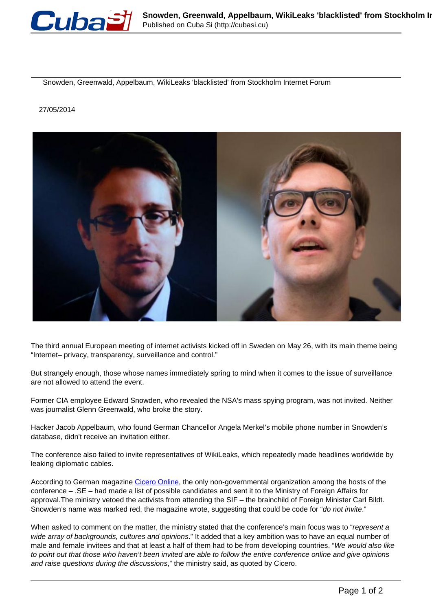

Snowden, Greenwald, Appelbaum, WikiLeaks 'blacklisted' from Stockholm Internet Forum

## 27/05/2014



The third annual European meeting of internet activists kicked off in Sweden on May 26, with its main theme being "Internet– privacy, transparency, surveillance and control."

But strangely enough, those whose names immediately spring to mind when it comes to the issue of surveillance are not allowed to attend the event.

Former CIA employee Edward Snowden, who revealed the NSA's mass spying program, was not invited. Neither was journalist Glenn Greenwald, who broke the story.

Hacker Jacob Appelbaum, who found German Chancellor Angela Merkel's mobile phone number in Snowden's database, didn't receive an invitation either.

The conference also failed to invite representatives of WikiLeaks, which repeatedly made headlines worldwide by leaking diplomatic cables.

According to German magazine [Cicero Online](http://www.cicero.de/weltbuehne/conference-internet-freedom-swedish-foreign-ministry-prevents-snowdens-invitation/57582), the only non-governmental organization among the hosts of the conference – .SE – had made a list of possible candidates and sent it to the Ministry of Foreign Affairs for approval.The ministry vetoed the activists from attending the SIF – the brainchild of Foreign Minister Carl Bildt. Snowden's name was marked red, the magazine wrote, suggesting that could be code for "do not invite."

When asked to comment on the matter, the ministry stated that the conference's main focus was to "represent a wide array of backgrounds, cultures and opinions." It added that a key ambition was to have an equal number of male and female invitees and that at least a half of them had to be from developing countries. "We would also like to point out that those who haven't been invited are able to follow the entire conference online and give opinions and raise questions during the discussions," the ministry said, as quoted by Cicero.